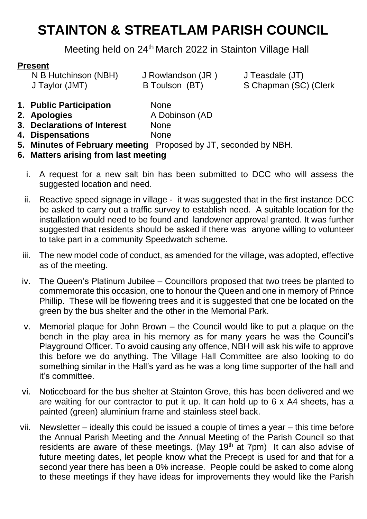# **STAINTON & STREATLAM PARISH COUNCIL**

Meeting held on 24<sup>th</sup> March 2022 in Stainton Village Hall

#### **Present**

N B Hutchinson (NBH) J Rowlandson (JR) J Teasdale (JT)

J Taylor (JMT) B Toulson (BT) S Chapman (SC) (Clerk

- **1. Public Participation** None
- **2. Apologies** A Dobinson (AD
- **3. Declarations of Interest** None
- **4. Dispensations** None
- **5. Minutes of February meeting** Proposed by JT, seconded by NBH.
- **6. Matters arising from last meeting**
	- i. A request for a new salt bin has been submitted to DCC who will assess the suggested location and need.
	- ii. Reactive speed signage in village it was suggested that in the first instance DCC be asked to carry out a traffic survey to establish need. A suitable location for the installation would need to be found and landowner approval granted. It was further suggested that residents should be asked if there was anyone willing to volunteer to take part in a community Speedwatch scheme.
	- iii. The new model code of conduct, as amended for the village, was adopted, effective as of the meeting.
	- iv. The Queen's Platinum Jubilee Councillors proposed that two trees be planted to commemorate this occasion, one to honour the Queen and one in memory of Prince Phillip. These will be flowering trees and it is suggested that one be located on the green by the bus shelter and the other in the Memorial Park.
	- v. Memorial plaque for John Brown the Council would like to put a plaque on the bench in the play area in his memory as for many years he was the Council's Playground Officer. To avoid causing any offence, NBH will ask his wife to approve this before we do anything. The Village Hall Committee are also looking to do something similar in the Hall's yard as he was a long time supporter of the hall and it's committee.
	- vi. Noticeboard for the bus shelter at Stainton Grove, this has been delivered and we are waiting for our contractor to put it up. It can hold up to 6 x A4 sheets, has a painted (green) aluminium frame and stainless steel back.
- vii. Newsletter ideally this could be issued a couple of times a year this time before the Annual Parish Meeting and the Annual Meeting of the Parish Council so that residents are aware of these meetings. (May 19<sup>th</sup> at 7pm) It can also advise of future meeting dates, let people know what the Precept is used for and that for a second year there has been a 0% increase. People could be asked to come along to these meetings if they have ideas for improvements they would like the Parish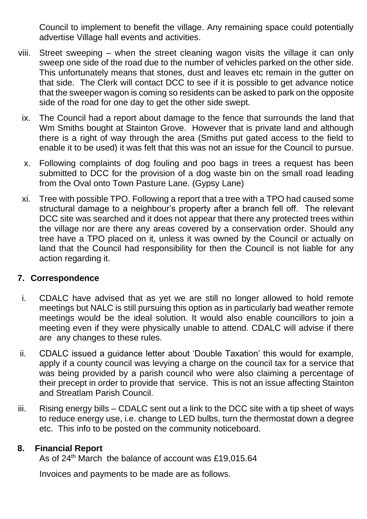Council to implement to benefit the village. Any remaining space could potentially advertise Village hall events and activities.

- viii. Street sweeping when the street cleaning wagon visits the village it can only sweep one side of the road due to the number of vehicles parked on the other side. This unfortunately means that stones, dust and leaves etc remain in the gutter on that side. The Clerk will contact DCC to see if it is possible to get advance notice that the sweeper wagon is coming so residents can be asked to park on the opposite side of the road for one day to get the other side swept.
	- ix. The Council had a report about damage to the fence that surrounds the land that Wm Smiths bought at Stainton Grove. However that is private land and although there is a right of way through the area (Smiths put gated access to the field to enable it to be used) it was felt that this was not an issue for the Council to pursue.
	- x. Following complaints of dog fouling and poo bags in trees a request has been submitted to DCC for the provision of a dog waste bin on the small road leading from the Oval onto Town Pasture Lane. (Gypsy Lane)
	- xi. Tree with possible TPO. Following a report that a tree with a TPO had caused some structural damage to a neighbour's property after a branch fell off. The relevant DCC site was searched and it does not appear that there any protected trees within the village nor are there any areas covered by a conservation order. Should any tree have a TPO placed on it, unless it was owned by the Council or actually on land that the Council had responsibility for then the Council is not liable for any action regarding it.

#### **7. Correspondence**

- i. CDALC have advised that as yet we are still no longer allowed to hold remote meetings but NALC is still pursuing this option as in particularly bad weather remote meetings would be the ideal solution. It would also enable councillors to join a meeting even if they were physically unable to attend. CDALC will advise if there are any changes to these rules.
- ii. CDALC issued a guidance letter about 'Double Taxation' this would for example, apply if a county council was levying a charge on the council tax for a service that was being provided by a parish council who were also claiming a percentage of their precept in order to provide that service. This is not an issue affecting Stainton and Streatlam Parish Council.
- iii. Rising energy bills CDALC sent out a link to the DCC site with a tip sheet of ways to reduce energy use, i.e. change to LED bulbs, turn the thermostat down a degree etc. This info to be posted on the community noticeboard.

#### **8. Financial Report**

As of 24<sup>th</sup> March the balance of account was £19,015.64

Invoices and payments to be made are as follows.